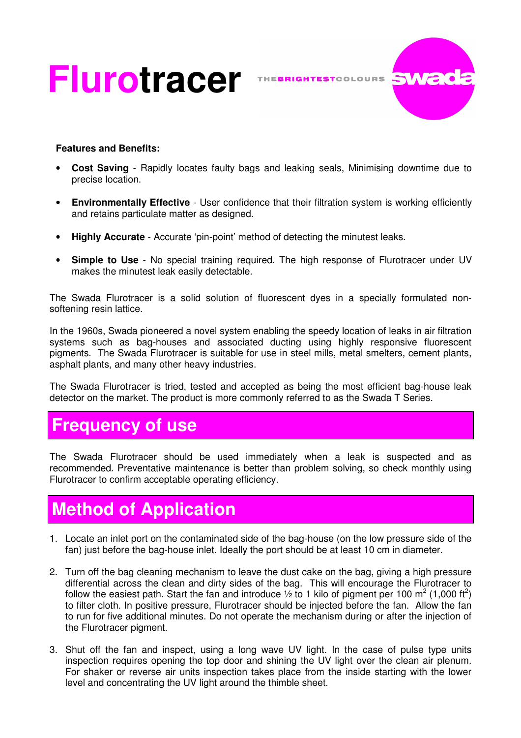# Flurotracer THEBRIGHTESTCOLOURS SWade



#### **Features and Benefits:**

- **Cost Saving** Rapidly locates faulty bags and leaking seals, Minimising downtime due to precise location.
- **Environmentally Effective** User confidence that their filtration system is working efficiently and retains particulate matter as designed.
- **Highly Accurate** Accurate 'pin-point' method of detecting the minutest leaks.
- **Simple to Use** No special training required. The high response of Flurotracer under UV makes the minutest leak easily detectable.

The Swada Flurotracer is a solid solution of fluorescent dyes in a specially formulated nonsoftening resin lattice.

In the 1960s, Swada pioneered a novel system enabling the speedy location of leaks in air filtration systems such as bag-houses and associated ducting using highly responsive fluorescent pigments. The Swada Flurotracer is suitable for use in steel mills, metal smelters, cement plants, asphalt plants, and many other heavy industries.

The Swada Flurotracer is tried, tested and accepted as being the most efficient bag-house leak detector on the market. The product is more commonly referred to as the Swada T Series.

### **Frequency of use**

The Swada Flurotracer should be used immediately when a leak is suspected and as recommended. Preventative maintenance is better than problem solving, so check monthly using Flurotracer to confirm acceptable operating efficiency.

# **Method of Application**

- 1. Locate an inlet port on the contaminated side of the bag-house (on the low pressure side of the fan) just before the bag-house inlet. Ideally the port should be at least 10 cm in diameter.
- 2. Turn off the bag cleaning mechanism to leave the dust cake on the bag, giving a high pressure differential across the clean and dirty sides of the bag. This will encourage the Flurotracer to follow the easiest path. Start the fan and introduce  $\frac{1}{2}$  to 1 kilo of pigment per 100 m<sup>2</sup> (1,000 ft<sup>2</sup>) to filter cloth. In positive pressure, Flurotracer should be injected before the fan. Allow the fan to run for five additional minutes. Do not operate the mechanism during or after the injection of the Flurotracer pigment.
- 3. Shut off the fan and inspect, using a long wave UV light. In the case of pulse type units inspection requires opening the top door and shining the UV light over the clean air plenum. For shaker or reverse air units inspection takes place from the inside starting with the lower level and concentrating the UV light around the thimble sheet.